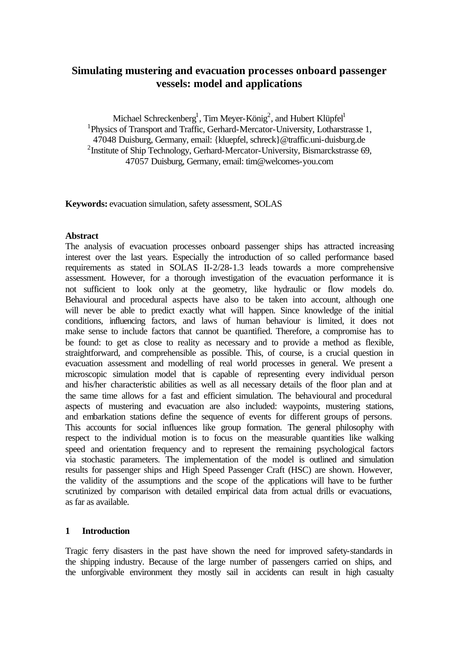# **Simulating mustering and evacuation processes onboard passenger vessels: model and applications**

Michael Schreckenberg<sup>1</sup>, Tim Meyer-König<sup>2</sup>, and Hubert Klüpfel<sup>1</sup> <sup>1</sup>Physics of Transport and Traffic, Gerhard-Mercator-University, Lotharstrasse 1, 47048 Duisburg, Germany, email: {kluepfel, schreck}@traffic.uni-duisburg.de <sup>2</sup> Institute of Ship Technology, Gerhard-Mercator-University, Bismarckstrasse 69, 47057 Duisburg, Germany, email: tim@welcomes-you.com

**Keywords:** evacuation simulation, safety assessment, SOLAS

#### **Abstract**

The analysis of evacuation processes onboard passenger ships has attracted increasing interest over the last years. Especially the introduction of so called performance based requirements as stated in SOLAS II-2/28-1.3 leads towards a more comprehensive assessment. However, for a thorough investigation of the evacuation performance it is not sufficient to look only at the geometry, like hydraulic or flow models do. Behavioural and procedural aspects have also to be taken into account, although one will never be able to predict exactly what will happen. Since knowledge of the initial conditions, influencing factors, and laws of human behaviour is limited, it does not make sense to include factors that cannot be quantified. Therefore, a compromise has to be found: to get as close to reality as necessary and to provide a method as flexible, straightforward, and comprehensible as possible. This, of course, is a crucial question in evacuation assessment and modelling of real world processes in general. We present a microscopic simulation model that is capable of representing every individual person and his/her characteristic abilities as well as all necessary details of the floor plan and at the same time allows for a fast and efficient simulation. The behavioural and procedural aspects of mustering and evacuation are also included: waypoints, mustering stations, and embarkation stations define the sequence of events for different groups of persons. This accounts for social influences like group formation. The general philosophy with respect to the individual motion is to focus on the measurable quantities like walking speed and orientation frequency and to represent the remaining psychological factors via stochastic parameters. The implementation of the model is outlined and simulation results for passenger ships and High Speed Passenger Craft (HSC) are shown. However, the validity of the assumptions and the scope of the applications will have to be further scrutinized by comparison with detailed empirical data from actual drills or evacuations, as far as available.

### **1 Introduction**

Tragic ferry disasters in the past have shown the need for improved safety-standards in the shipping industry. Because of the large number of passengers carried on ships, and the unforgivable environment they mostly sail in accidents can result in high casualty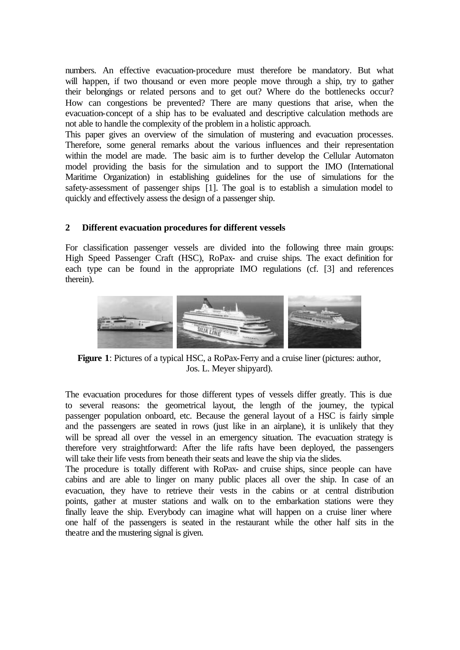numbers. An effective evacuation-procedure must therefore be mandatory. But what will happen, if two thousand or even more people move through a ship, try to gather their belongings or related persons and to get out? Where do the bottlenecks occur? How can congestions be prevented? There are many questions that arise, when the evacuation-concept of a ship has to be evaluated and descriptive calculation methods are not able to handle the complexity of the problem in a holistic approach.

This paper gives an overview of the simulation of mustering and evacuation processes. Therefore, some general remarks about the various influences and their representation within the model are made. The basic aim is to further develop the Cellular Automaton model providing the basis for the simulation and to support the IMO (International Maritime Organization) in establishing guidelines for the use of simulations for the safety-assessment of passenger ships [1]. The goal is to establish a simulation model to quickly and effectively assess the design of a passenger ship.

# **2 Different evacuation procedures for different vessels**

For classification passenger vessels are divided into the following three main groups: High Speed Passenger Craft (HSC), RoPax- and cruise ships. The exact definition for each type can be found in the appropriate IMO regulations (cf. [3] and references therein).



**Figure 1**: Pictures of a typical HSC, a RoPax-Ferry and a cruise liner (pictures: author, Jos. L. Meyer shipyard).

The evacuation procedures for those different types of vessels differ greatly. This is due to several reasons: the geometrical layout, the length of the journey, the typical passenger population onboard, etc. Because the general layout of a HSC is fairly simple and the passengers are seated in rows (just like in an airplane), it is unlikely that they will be spread all over the vessel in an emergency situation. The evacuation strategy is therefore very straightforward: After the life rafts have been deployed, the passengers will take their life vests from beneath their seats and leave the ship via the slides.

The procedure is totally different with RoPax- and cruise ships, since people can have cabins and are able to linger on many public places all over the ship. In case of an evacuation, they have to retrieve their vests in the cabins or at central distribution points, gather at muster stations and walk on to the embarkation stations were they finally leave the ship. Everybody can imagine what will happen on a cruise liner where one half of the passengers is seated in the restaurant while the other half sits in the theatre and the mustering signal is given.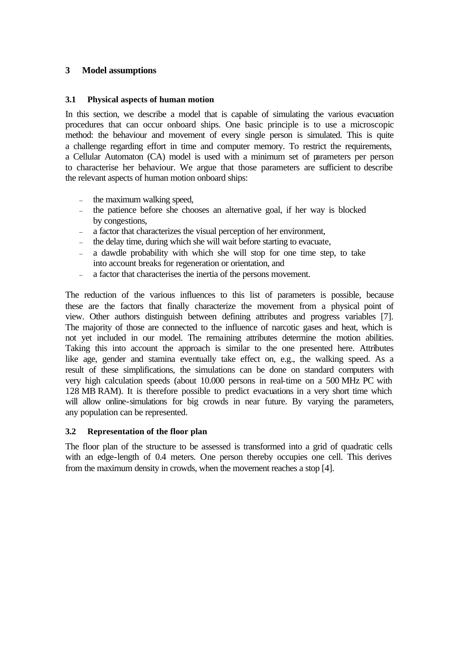### **3 Model assumptions**

#### **3.1 Physical aspects of human motion**

In this section, we describe a model that is capable of simulating the various evacuation procedures that can occur onboard ships. One basic principle is to use a microscopic method: the behaviour and movement of every single person is simulated. This is quite a challenge regarding effort in time and computer memory. To restrict the requirements, a Cellular Automaton (CA) model is used with a minimum set of parameters per person to characterise her behaviour. We argue that those parameters are sufficient to describe the relevant aspects of human motion onboard ships:

- the maximum walking speed,
- the patience before she chooses an alternative goal, if her way is blocked by congestions,
- a factor that characterizes the visual perception of her environment,
- the delay time, during which she will wait before starting to evacuate,
- a dawdle probability with which she will stop for one time step, to take into account breaks for regeneration or orientation, and
- a factor that characterises the inertia of the persons movement.

The reduction of the various influences to this list of parameters is possible, because these are the factors that finally characterize the movement from a physical point of view. Other authors distinguish between defining attributes and progress variables [7]. The majority of those are connected to the influence of narcotic gases and heat, which is not yet included in our model. The remaining attributes determine the motion abilities. Taking this into account the approach is similar to the one presented here. Attributes like age, gender and stamina eventually take effect on, e.g., the walking speed. As a result of these simplifications, the simulations can be done on standard computers with very high calculation speeds (about 10.000 persons in real-time on a 500 MHz PC with 128 MB RAM). It is therefore possible to predict evacuations in a very short time which will allow online-simulations for big crowds in near future. By varying the parameters, any population can be represented.

#### **3.2 Representation of the floor plan**

The floor plan of the structure to be assessed is transformed into a grid of quadratic cells with an edge-length of 0.4 meters. One person thereby occupies one cell. This derives from the maximum density in crowds, when the movement reaches a stop [4].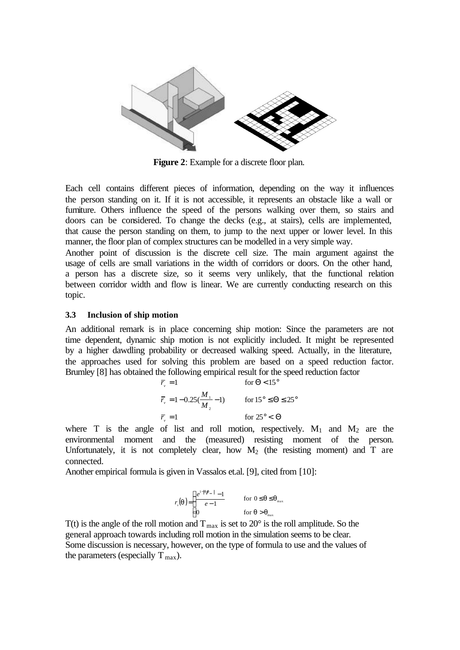

**Figure 2**: Example for a discrete floor plan.

Each cell contains different pieces of information, depending on the way it influences the person standing on it. If it is not accessible, it represents an obstacle like a wall or furniture. Others influence the speed of the persons walking over them, so stairs and doors can be considered. To change the decks (e.g., at stairs), cells are implemented, that cause the person standing on them, to jump to the next upper or lower level. In this manner, the floor plan of complex structures can be modelled in a very simple way.

Another point of discussion is the discrete cell size. The main argument against the usage of cells are small variations in the width of corridors or doors. On the other hand, a person has a discrete size, so it seems very unlikely, that the functional relation between corridor width and flow is linear. We are currently conducting research on this topic.

#### **3.3 Inclusion of ship motion**

An additional remark is in place concerning ship motion: Since the parameters are not time dependent, dynamic ship motion is not explicitly included. It might be represented by a higher dawdling probability or decreased walking speed. Actually, in the literature, the approaches used for solving this problem are based on a speed reduction factor. Brumley [8] has obtained the following empirical result for the speed reduction factor

$$
\overline{r}_{v} = 1 \qquad \text{for } \Theta < 15^{\circ}
$$
\n
$$
\overline{r}_{v} = 1 - 0.25(\frac{M_{1}}{M_{2}} - 1) \qquad \text{for } 15^{\circ} \le \Theta \le 25^{\circ}
$$
\n
$$
\overline{r}_{v} = 1 \qquad \text{for } 25^{\circ} < \Theta
$$

where T is the angle of list and roll motion, respectively.  $M_1$  and  $M_2$  are the environmental moment and the (measured) resisting moment of the person. Unfortunately, it is not completely clear, how  $M_2$  (the resisting moment) and T are connected.

Another empirical formula is given in Vassalos et.al. [9], cited from [10]:

$$
r_v(\boldsymbol{q}) = \begin{cases} \frac{e^{1-|\boldsymbol{q}\boldsymbol{h}_{\text{m}}|} - 1}{e - 1} & \text{for } 0 \leq \boldsymbol{q} \leq \boldsymbol{q}_{\text{max}} \\ 0 & \text{for } \boldsymbol{q} > \boldsymbol{q}_{\text{max}} \end{cases}
$$

T(t) is the angle of the roll motion and  $T_{\text{max}}$  is set to 20 $^{\circ}$  is the roll amplitude. So the general approach towards including roll motion in the simulation seems to be clear. Some discussion is necessary, however, on the type of formula to use and the values of the parameters (especially  $\overline{T}_{\text{max}}$ ).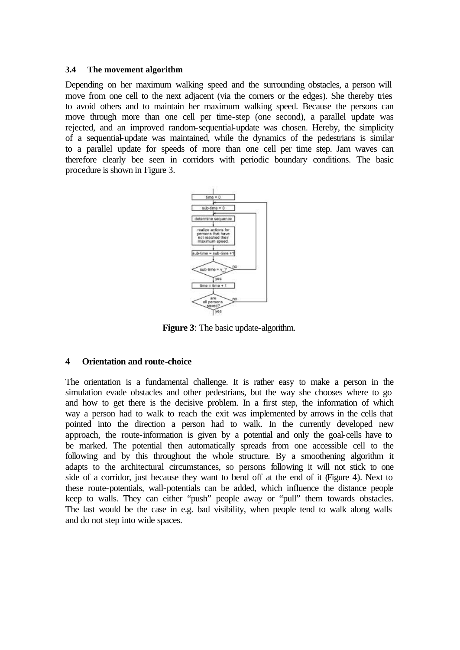#### **3.4 The movement algorithm**

Depending on her maximum walking speed and the surrounding obstacles, a person will move from one cell to the next adjacent (via the corners or the edges). She thereby tries to avoid others and to maintain her maximum walking speed. Because the persons can move through more than one cell per time-step (one second), a parallel update was rejected, and an improved random-sequential-update was chosen. Hereby, the simplicity of a sequential-update was maintained, while the dynamics of the pedestrians is similar to a parallel update for speeds of more than one cell per time step. Jam waves can therefore clearly bee seen in corridors with periodic boundary conditions. The basic procedure is shown in Figure 3.



**Figure 3**: The basic update-algorithm.

### **4 Orientation and route-choice**

The orientation is a fundamental challenge. It is rather easy to make a person in the simulation evade obstacles and other pedestrians, but the way she chooses where to go and how to get there is the decisive problem. In a first step, the information of which way a person had to walk to reach the exit was implemented by arrows in the cells that pointed into the direction a person had to walk. In the currently developed new approach, the route-information is given by a potential and only the goal-cells have to be marked. The potential then automatically spreads from one accessible cell to the following and by this throughout the whole structure. By a smoothening algorithm it adapts to the architectural circumstances, so persons following it will not stick to one side of a corridor, just because they want to bend off at the end of it (Figure 4). Next to these route-potentials, wall-potentials can be added, which influence the distance people keep to walls. They can either "push" people away or "pull" them towards obstacles. The last would be the case in e.g. bad visibility, when people tend to walk along walls and do not step into wide spaces.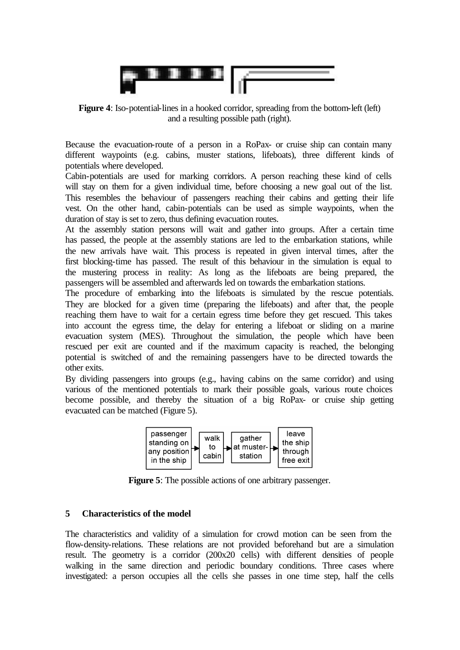

**Figure 4**: Iso-potential-lines in a hooked corridor, spreading from the bottom-left (left) and a resulting possible path (right).

Because the evacuation-route of a person in a RoPax- or cruise ship can contain many different waypoints (e.g. cabins, muster stations, lifeboats), three different kinds of potentials where developed.

Cabin-potentials are used for marking corridors. A person reaching these kind of cells will stay on them for a given individual time, before choosing a new goal out of the list. This resembles the behaviour of passengers reaching their cabins and getting their life vest. On the other hand, cabin-potentials can be used as simple waypoints, when the duration of stay is set to zero, thus defining evacuation routes.

At the assembly station persons will wait and gather into groups. After a certain time has passed, the people at the assembly stations are led to the embarkation stations, while the new arrivals have wait. This process is repeated in given interval times, after the first blocking-time has passed. The result of this behaviour in the simulation is equal to the mustering process in reality: As long as the lifeboats are being prepared, the passengers will be assembled and afterwards led on towards the embarkation stations.

The procedure of embarking into the lifeboats is simulated by the rescue potentials. They are blocked for a given time (preparing the lifeboats) and after that, the people reaching them have to wait for a certain egress time before they get rescued. This takes into account the egress time, the delay for entering a lifeboat or sliding on a marine evacuation system (MES). Throughout the simulation, the people which have been rescued per exit are counted and if the maximum capacity is reached, the belonging potential is switched of and the remaining passengers have to be directed towards the other exits.

By dividing passengers into groups (e.g., having cabins on the same corridor) and using various of the mentioned potentials to mark their possible goals, various route choices become possible, and thereby the situation of a big RoPax- or cruise ship getting evacuated can be matched (Figure 5).



**Figure 5**: The possible actions of one arbitrary passenger.

# **5 Characteristics of the model**

The characteristics and validity of a simulation for crowd motion can be seen from the flow-density-relations. These relations are not provided beforehand but are a simulation result. The geometry is a corridor (200x20 cells) with different densities of people walking in the same direction and periodic boundary conditions. Three cases where investigated: a person occupies all the cells she passes in one time step, half the cells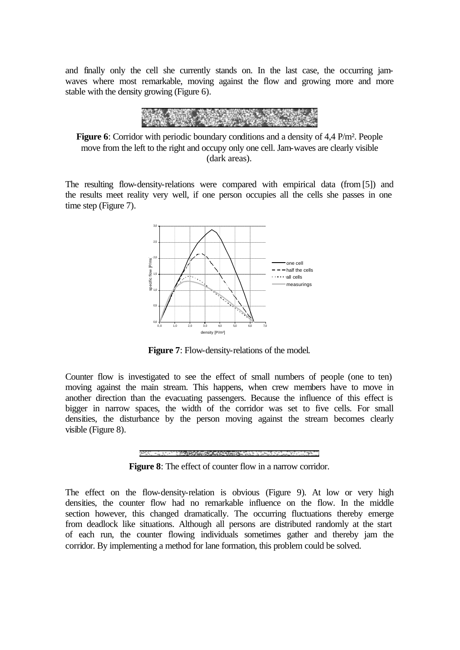and finally only the cell she currently stands on. In the last case, the occurring jamwaves where most remarkable, moving against the flow and growing more and more stable with the density growing (Figure 6).



**Figure 6**: Corridor with periodic boundary conditions and a density of 4,4 P/m². People move from the left to the right and occupy only one cell. Jam-waves are clearly visible (dark areas).

The resulting flow-density-relations were compared with empirical data (from [5]) and the results meet reality very well, if one person occupies all the cells she passes in one time step (Figure 7).



**Figure 7**: Flow-density-relations of the model.

Counter flow is investigated to see the effect of small numbers of people (one to ten) moving against the main stream. This happens, when crew members have to move in another direction than the evacuating passengers. Because the influence of this effect is bigger in narrow spaces, the width of the corridor was set to five cells. For small densities, the disturbance by the person moving against the stream becomes clearly visible (Figure 8).



**Figure 8**: The effect of counter flow in a narrow corridor.

The effect on the flow-density-relation is obvious (Figure 9). At low or very high densities, the counter flow had no remarkable influence on the flow. In the middle section however, this changed dramatically. The occurring fluctuations thereby emerge from deadlock like situations. Although all persons are distributed randomly at the start of each run, the counter flowing individuals sometimes gather and thereby jam the corridor. By implementing a method for lane formation, this problem could be solved.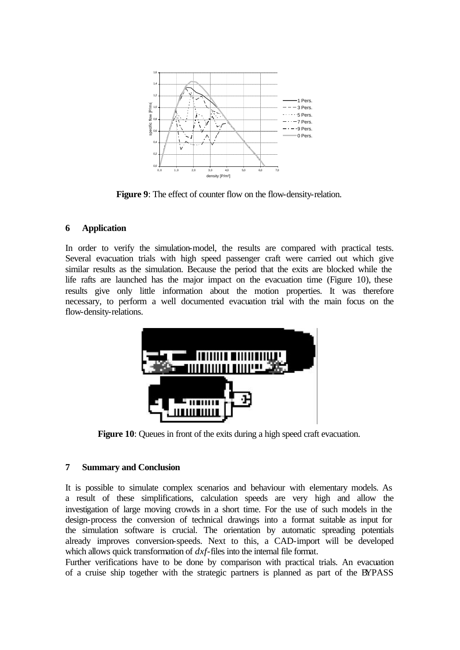

**Figure 9**: The effect of counter flow on the flow-density-relation.

# **6 Application**

In order to verify the simulation-model, the results are compared with practical tests. Several evacuation trials with high speed passenger craft were carried out which give similar results as the simulation. Because the period that the exits are blocked while the life rafts are launched has the major impact on the evacuation time (Figure 10), these results give only little information about the motion properties. It was therefore necessary, to perform a well documented evacuation trial with the main focus on the flow-density-relations.



**Figure 10:** Queues in front of the exits during a high speed craft evacuation.

# **7 Summary and Conclusion**

It is possible to simulate complex scenarios and behaviour with elementary models. As a result of these simplifications, calculation speeds are very high and allow the investigation of large moving crowds in a short time. For the use of such models in the design-process the conversion of technical drawings into a format suitable as input for the simulation software is crucial. The orientation by automatic spreading potentials already improves conversion-speeds. Next to this, a CAD-import will be developed which allows quick transformation of *dxf*-files into the internal file format.

Further verifications have to be done by comparison with practical trials. An evacuation of a cruise ship together with the strategic partners is planned as part of the BYPASS